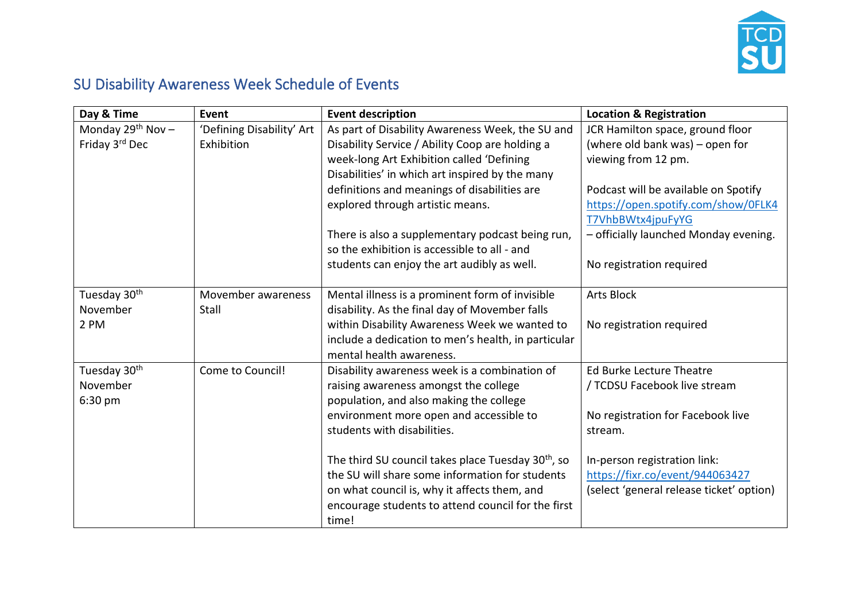

## SU Disability Awareness Week Schedule of Events

| Day & Time               | Event                     | <b>Event description</b>                                       | <b>Location &amp; Registration</b>       |
|--------------------------|---------------------------|----------------------------------------------------------------|------------------------------------------|
| Monday $29^{th}$ Nov -   | 'Defining Disability' Art | As part of Disability Awareness Week, the SU and               | JCR Hamilton space, ground floor         |
| Friday 3rd Dec           | Exhibition                | Disability Service / Ability Coop are holding a                | (where old bank was) - open for          |
|                          |                           | week-long Art Exhibition called 'Defining                      | viewing from 12 pm.                      |
|                          |                           | Disabilities' in which art inspired by the many                |                                          |
|                          |                           | definitions and meanings of disabilities are                   | Podcast will be available on Spotify     |
|                          |                           | explored through artistic means.                               | https://open.spotify.com/show/0FLK4      |
|                          |                           |                                                                | T7VhbBWtx4jpuFyYG                        |
|                          |                           | There is also a supplementary podcast being run,               | - officially launched Monday evening.    |
|                          |                           | so the exhibition is accessible to all - and                   |                                          |
|                          |                           | students can enjoy the art audibly as well.                    | No registration required                 |
|                          |                           |                                                                |                                          |
| Tuesday 30 <sup>th</sup> | Movember awareness        | Mental illness is a prominent form of invisible                | <b>Arts Block</b>                        |
| November                 | Stall                     | disability. As the final day of Movember falls                 |                                          |
| 2 PM                     |                           | within Disability Awareness Week we wanted to                  | No registration required                 |
|                          |                           | include a dedication to men's health, in particular            |                                          |
|                          |                           | mental health awareness.                                       |                                          |
| Tuesday 30th             | Come to Council!          | Disability awareness week is a combination of                  | <b>Ed Burke Lecture Theatre</b>          |
| November                 |                           | raising awareness amongst the college                          | / TCDSU Facebook live stream             |
| 6:30 pm                  |                           | population, and also making the college                        |                                          |
|                          |                           | environment more open and accessible to                        | No registration for Facebook live        |
|                          |                           | students with disabilities.                                    | stream.                                  |
|                          |                           |                                                                |                                          |
|                          |                           | The third SU council takes place Tuesday 30 <sup>th</sup> , so | In-person registration link:             |
|                          |                           | the SU will share some information for students                | https://fixr.co/event/944063427          |
|                          |                           | on what council is, why it affects them, and                   | (select 'general release ticket' option) |
|                          |                           | encourage students to attend council for the first             |                                          |
|                          |                           | time!                                                          |                                          |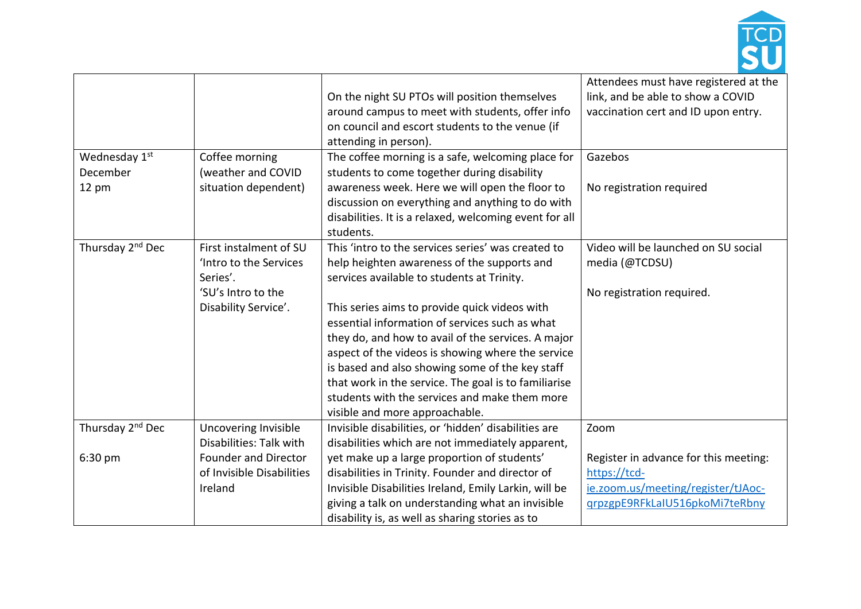

|                              |                             |                                                        | Attendees must have registered at the |
|------------------------------|-----------------------------|--------------------------------------------------------|---------------------------------------|
|                              |                             | On the night SU PTOs will position themselves          | link, and be able to show a COVID     |
|                              |                             | around campus to meet with students, offer info        | vaccination cert and ID upon entry.   |
|                              |                             | on council and escort students to the venue (if        |                                       |
|                              |                             | attending in person).                                  |                                       |
| Wednesday 1st                | Coffee morning              | The coffee morning is a safe, welcoming place for      | Gazebos                               |
| December                     | (weather and COVID          | students to come together during disability            |                                       |
| 12 pm                        | situation dependent)        | awareness week. Here we will open the floor to         | No registration required              |
|                              |                             | discussion on everything and anything to do with       |                                       |
|                              |                             | disabilities. It is a relaxed, welcoming event for all |                                       |
|                              |                             | students.                                              |                                       |
| Thursday 2 <sup>nd</sup> Dec | First instalment of SU      | This 'intro to the services series' was created to     | Video will be launched on SU social   |
|                              | 'Intro to the Services      | help heighten awareness of the supports and            | media (@TCDSU)                        |
|                              | Series'.                    | services available to students at Trinity.             |                                       |
|                              | 'SU's Intro to the          |                                                        | No registration required.             |
|                              | Disability Service'.        | This series aims to provide quick videos with          |                                       |
|                              |                             | essential information of services such as what         |                                       |
|                              |                             | they do, and how to avail of the services. A major     |                                       |
|                              |                             | aspect of the videos is showing where the service      |                                       |
|                              |                             | is based and also showing some of the key staff        |                                       |
|                              |                             | that work in the service. The goal is to familiarise   |                                       |
|                              |                             | students with the services and make them more          |                                       |
|                              |                             | visible and more approachable.                         |                                       |
| Thursday 2 <sup>nd</sup> Dec | Uncovering Invisible        | Invisible disabilities, or 'hidden' disabilities are   | Zoom                                  |
|                              | Disabilities: Talk with     | disabilities which are not immediately apparent,       |                                       |
| 6:30 pm                      | <b>Founder and Director</b> | yet make up a large proportion of students'            | Register in advance for this meeting: |
|                              | of Invisible Disabilities   | disabilities in Trinity. Founder and director of       | https://tcd-                          |
|                              | Ireland                     | Invisible Disabilities Ireland, Emily Larkin, will be  | ie.zoom.us/meeting/register/tJAoc-    |
|                              |                             | giving a talk on understanding what an invisible       | grpzgpE9RFkLaIU516pkoMi7teRbny        |
|                              |                             | disability is, as well as sharing stories as to        |                                       |